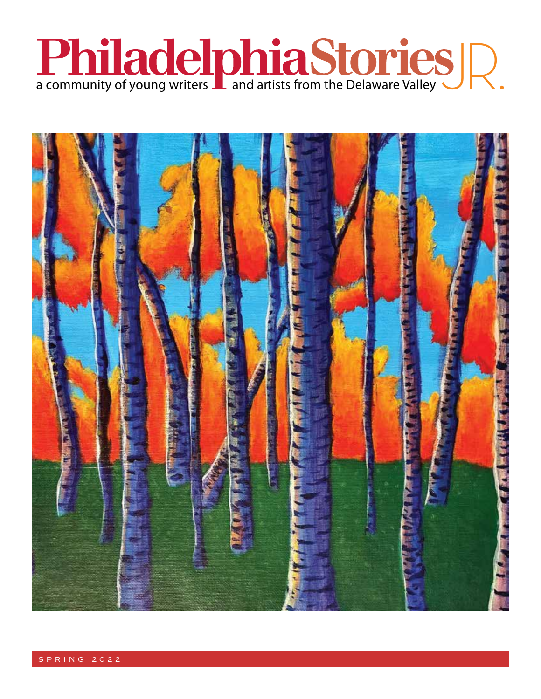

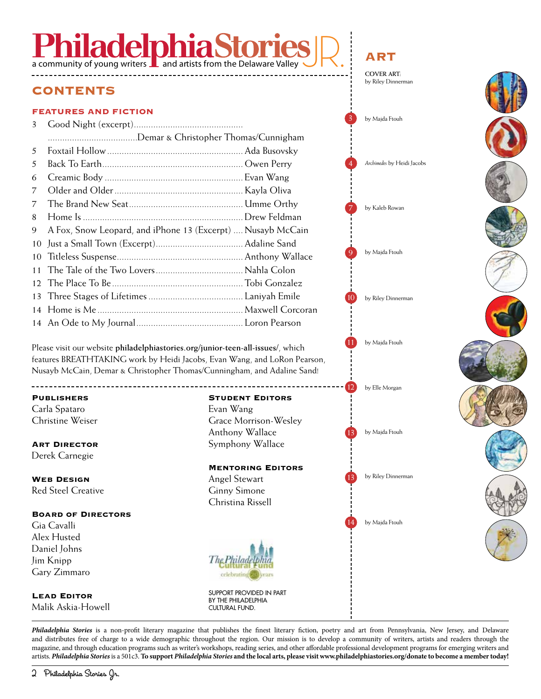# **Philace philace Stop**

#### CONTENTS

#### FEATURES AND FICTION

| 3  |                                                             |  |
|----|-------------------------------------------------------------|--|
|    | Demar & Christopher Thomas/Cunnigham                        |  |
| 5  |                                                             |  |
| 5  |                                                             |  |
| 6  |                                                             |  |
| 7  |                                                             |  |
| 7  |                                                             |  |
| 8  |                                                             |  |
| 9. | A Fox, Snow Leopard, and iPhone 13 (Excerpt)  Nusayb McCain |  |
| 10 |                                                             |  |
| 10 |                                                             |  |
|    |                                                             |  |
|    |                                                             |  |
|    |                                                             |  |
|    |                                                             |  |
|    |                                                             |  |

Please visit our website **philadelphiastories.org/junior-teen-all-issues/**, which features BREATHTAKING work by Heidi Jacobs, Evan Wang, and LoRon Pearson, Nusayb McCain, Demar & Christopher Thomas/Cunningham, and Adaline Sand!

#### **PUBLISHERS**

Carla Spataro Christine Weiser

\_\_\_\_\_\_\_\_\_\_\_\_\_\_\_\_\_\_\_\_\_\_\_\_\_\_\_\_

**ART DIRECTOR** Derek Carnegie

WEB DESIGN Red Steel Creative

#### Board of Directors

Gia Cavalli Alex Husted Daniel Johns Jim Knipp Gary Zimmaro

Lead Editor Malik Askia-Howell

#### Student Editors

Evan Wang Grace Morrison-Wesley Anthony Wallace Symphony Wallace

#### Mentoring Editors

Angel Stewart Ginny Simone Christina Rissell



SUPPORT PROVIDED IN PART BY THE PHILADELPHIA CULTURAL FUND.

*Philadelphia Stories* is a non-profit literary magazine that publishes the finest literary fiction, poetry and art from Pennsylvania, New Jersey, and Delaware and distributes free of charge to a wide demographic throughout the region. Our mission is to develop a community of writers, artists and readers through the magazine, and through education programs such as writer's workshops, reading series, and other affordable professional development programs for emerging writers and artists. *Philadelphia Stories* is a 501c3. **To support** *Philadelphia Stories* **and the local arts, please visit www.philadelphiastories.org/donate to become a member today!**



ART **COVER ART:**

by Riley Dinnerman

10

 $12<sup>1</sup>$ 

14

9

by Majda Ftouh

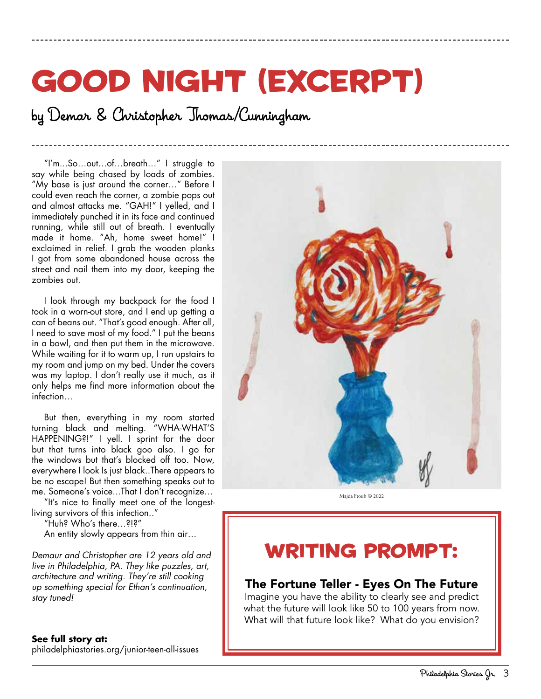# good night (excerpt)

by Demar & Christopher Thomas/Cunningham

"I'm...So…out…of…breath…" I struggle to say while being chased by loads of zombies. "My base is just around the corner…" Before I could even reach the corner, a zombie pops out and almost attacks me. "GAH!" I yelled, and I immediately punched it in its face and continued running, while still out of breath. I eventually made it home. "Ah, home sweet home!" I exclaimed in relief. I grab the wooden planks I got from some abandoned house across the street and nail them into my door, keeping the zombies out.

I look through my backpack for the food I took in a worn-out store, and I end up getting a can of beans out. "That's good enough. After all, I need to save most of my food." I put the beans in a bowl, and then put them in the microwave. While waiting for it to warm up, I run upstairs to my room and jump on my bed. Under the covers was my laptop. I don't really use it much, as it only helps me find more information about the infection…

But then, everything in my room started turning black and melting. "WHA-WHAT'S HAPPENING?!" I yell. I sprint for the door but that turns into black goo also. I go for the windows but that's blocked off too. Now, everywhere I look Is just black..There appears to be no escape! But then something speaks out to me. Someone's voice...That I don't recognize…

"It's nice to finally meet one of the longestliving survivors of this infection.."

"Huh? Who's there…?!?"

An entity slowly appears from thin air…

*Demaur and Christopher are 12 years old and live in Philadelphia, PA. They like puzzles, art, architecture and writing. They're still cooking up something special for Ethan's continuation, stay tuned!*

#### **See full story at:** philadelphiastories.org/junior-teen-all-issues



Majda Ftouh © 2022

## WRITING PROMPT:

#### The Fortune Teller - Eyes On The Future

Imagine you have the ability to clearly see and predict what the future will look like 50 to 100 years from now. What will that future look like? What do you envision?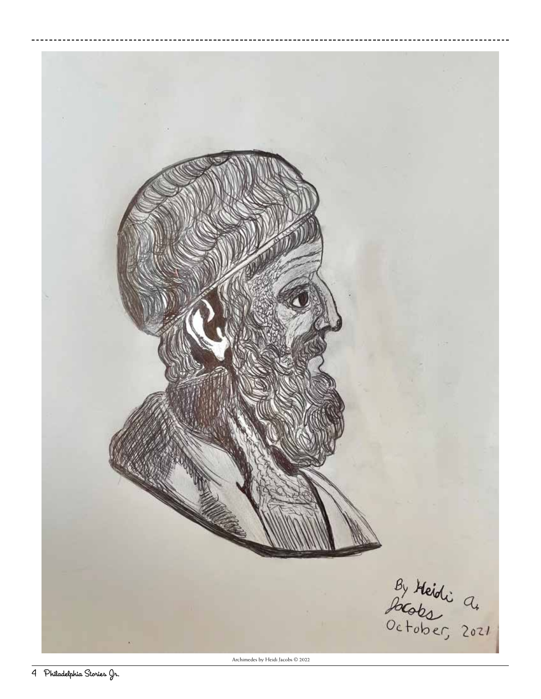

Archimedes by Heidi Jacobs © 2022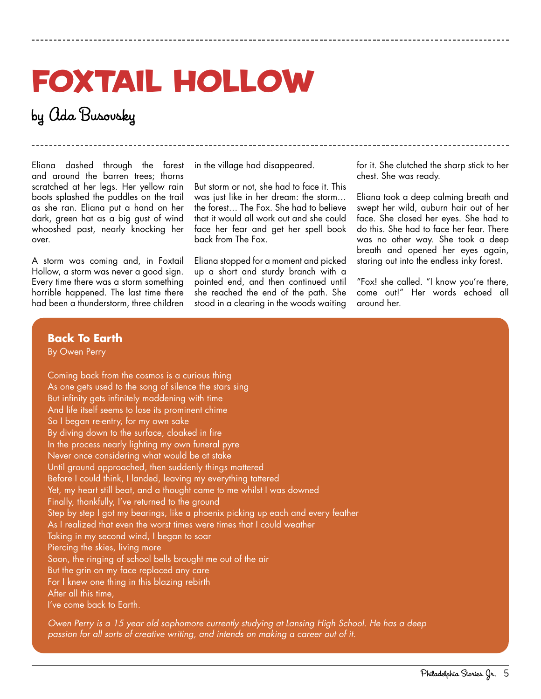# Foxtail Hollow

### by Ada Busovsky

Eliana dashed through the forest and around the barren trees; thorns scratched at her legs. Her yellow rain boots splashed the puddles on the trail as she ran. Eliana put a hand on her dark, green hat as a big gust of wind whooshed past, nearly knocking her over.

A storm was coming and, in Foxtail Hollow, a storm was never a good sign. Every time there was a storm something horrible happened. The last time there had been a thunderstorm, three children

in the village had disappeared.

But storm or not, she had to face it. This was just like in her dream: the storm… the forest… The Fox. She had to believe that it would all work out and she could face her fear and get her spell book back from The Fox.

Eliana stopped for a moment and picked up a short and sturdy branch with a pointed end, and then continued until she reached the end of the path. She stood in a clearing in the woods waiting

for it. She clutched the sharp stick to her chest. She was ready.

Eliana took a deep calming breath and swept her wild, auburn hair out of her face. She closed her eyes. She had to do this. She had to face her fear. There was no other way. She took a deep breath and opened her eyes again, staring out into the endless inky forest.

"Fox! she called. "I know you're there, come out!" Her words echoed all around her.

#### **Back To Earth**

By Owen Perry

Coming back from the cosmos is a curious thing As one gets used to the song of silence the stars sing But infinity gets infinitely maddening with time And life itself seems to lose its prominent chime So I began re-entry, for my own sake By diving down to the surface, cloaked in fire In the process nearly lighting my own funeral pyre Never once considering what would be at stake Until ground approached, then suddenly things mattered Before I could think, I landed, leaving my everything tattered Yet, my heart still beat, and a thought came to me whilst I was downed Finally, thankfully, I've returned to the ground Step by step I got my bearings, like a phoenix picking up each and every feather As I realized that even the worst times were times that I could weather Taking in my second wind, I began to soar Piercing the skies, living more Soon, the ringing of school bells brought me out of the air But the grin on my face replaced any care For I knew one thing in this blazing rebirth After all this time, I've come back to Earth.

*Owen Perry is a 15 year old sophomore currently studying at Lansing High School. He has a deep passion for all sorts of creative writing, and intends on making a career out of it.*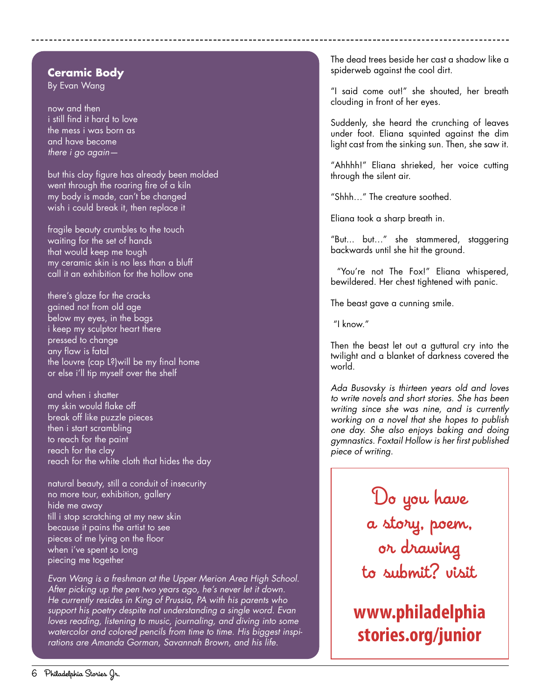#### **Ceramic Body**

By Evan Wang

now and then i still find it hard to love the mess i was born as and have become *there i go again—*

but this clay figure has already been molded went through the roaring fire of a kiln my body is made, can't be changed wish i could break it, then replace it

fragile beauty crumbles to the touch waiting for the set of hands that would keep me tough my ceramic skin is no less than a bluff call it an exhibition for the hollow one

there's glaze for the cracks gained not from old age below my eyes, in the bags i keep my sculptor heart there pressed to change any flaw is fatal the louvre (cap L?)will be my final home or else i'll tip myself over the shelf

and when i shatter my skin would flake off break off like puzzle pieces then i start scrambling to reach for the paint reach for the clay reach for the white cloth that hides the day

natural beauty, still a conduit of insecurity no more tour, exhibition, gallery hide me away till i stop scratching at my new skin because it pains the artist to see pieces of me lying on the floor when i've spent so long piecing me together

*Evan Wang is a freshman at the Upper Merion Area High School. After picking up the pen two years ago, he's never let it down. He currently resides in King of Prussia, PA with his parents who support his poetry despite not understanding a single word. Evan loves reading, listening to music, journaling, and diving into some watercolor and colored pencils from time to time. His biggest inspirations are Amanda Gorman, Savannah Brown, and his life.*

The dead trees beside her cast a shadow like a spiderweb against the cool dirt.

"I said come out!" she shouted, her breath clouding in front of her eyes.

Suddenly, she heard the crunching of leaves under foot. Eliana squinted against the dim light cast from the sinking sun. Then, she saw it.

"Ahhhh!" Eliana shrieked, her voice cutting through the silent air.

"Shhh…" The creature soothed.

Eliana took a sharp breath in.

"But... but…" she stammered, staggering backwards until she hit the ground.

 "You're not The Fox!" Eliana whispered, bewildered. Her chest tightened with panic.

The beast gave a cunning smile.

"I know."

Then the beast let out a guttural cry into the twilight and a blanket of darkness covered the world.

*Ada Busovsky is thirteen years old and loves to write novels and short stories. She has been writing since she was nine, and is currently working on a novel that she hopes to publish one day. She also enjoys baking and doing gymnastics. Foxtail Hollow is her first published piece of writing.*

> Do you have a story, poem, or drawing to submit? visit

**www.philadelphia stories.org/junior**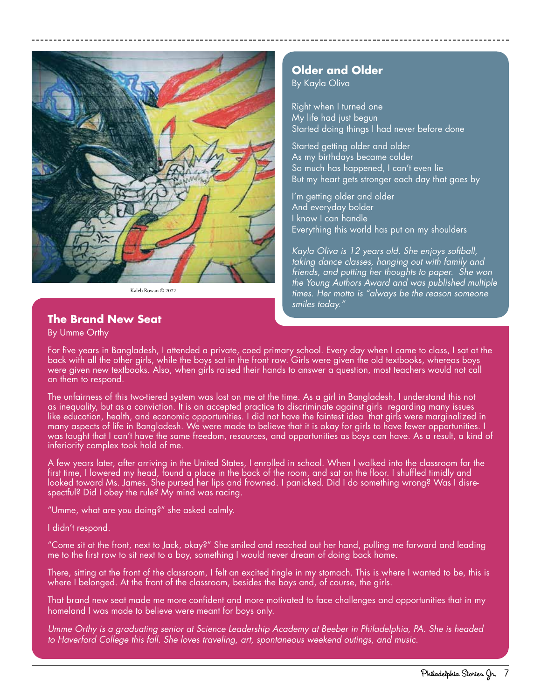

Kaleb Rowan © 2022

#### **The Brand New Seat**

#### By Umme Orthy

#### **Older and Older**

By Kayla Oliva

Right when I turned one My life had just begun Started doing things I had never before done

Started getting older and older As my birthdays became colder So much has happened, I can't even lie But my heart gets stronger each day that goes by

I'm getting older and older And everyday bolder I know I can handle Everything this world has put on my shoulders

*Kayla Oliva is 12 years old. She enjoys softball, taking dance classes, hanging out with family and friends, and putting her thoughts to paper. She won the Young Authors Award and was published multiple times. Her motto is "always be the reason someone smiles today."*

For five years in Bangladesh, I attended a private, coed primary school. Every day when I came to class, I sat at the back with all the other girls, while the boys sat in the front row. Girls were given the old textbooks, whereas boys were given new textbooks. Also, when girls raised their hands to answer a question, most teachers would not call on them to respond.

The unfairness of this two-tiered system was lost on me at the time. As a girl in Bangladesh, I understand this not as inequality, but as a conviction. It is an accepted practice to discriminate against girls regarding many issues like education, health, and economic opportunities. I did not have the faintest idea that girls were marginalized in many aspects of life in Bangladesh. We were made to believe that it is okay for girls to have fewer opportunities. I was taught that I can't have the same freedom, resources, and opportunities as boys can have. As a result, a kind of inferiority complex took hold of me.

A few years later, after arriving in the United States, I enrolled in school. When I walked into the classroom for the first time, I lowered my head, found a place in the back of the room, and sat on the floor. I shuffled timidly and looked toward Ms. James. She pursed her lips and frowned. I panicked. Did I do something wrong? Was I disrespectful? Did I obey the rule? My mind was racing.

"Umme, what are you doing?" she asked calmly.

I didn't respond.

"Come sit at the front, next to Jack, okay?" She smiled and reached out her hand, pulling me forward and leading me to the first row to sit next to a boy, something I would never dream of doing back home.

There, sitting at the front of the classroom, I felt an excited tingle in my stomach. This is where I wanted to be, this is where I belonged. At the front of the classroom, besides the boys and, of course, the girls.

That brand new seat made me more confident and more motivated to face challenges and opportunities that in my homeland I was made to believe were meant for boys only.

*Umme Orthy is a graduating senior at Science Leadership Academy at Beeber in Philadelphia, PA. She is headed to Haverford College this fall. She loves traveling, art, spontaneous weekend outings, and music.*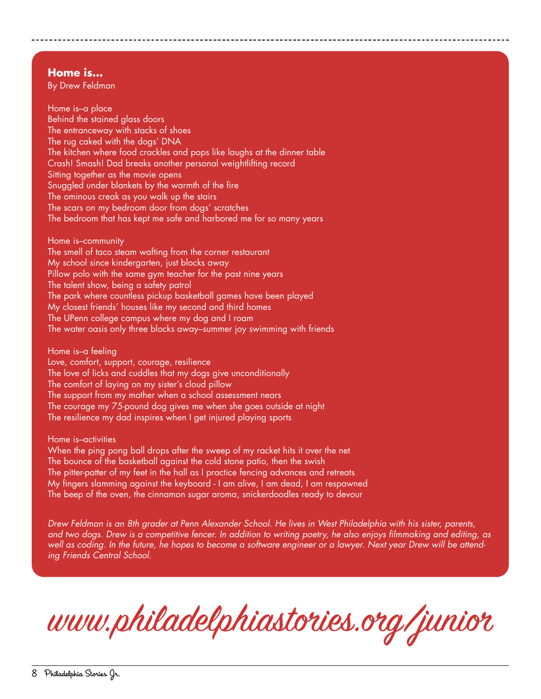#### **Home is…**

By Drew Feldman

Home is–a place Behind the stained glass doors The entranceway with stacks of shoes The rug caked with the dogs' DNA The kitchen where food crackles and pops like laughs at the dinner table Crash! Smash! Dad breaks another personal weightlifting record Sitting together as the movie opens Snuggled under blankets by the warmth of the fire The ominous creak as you walk up the stairs The scars on my bedroom door from dogs' scratches The bedroom that has kept me safe and harbored me for so many years

Home is–community The smell of taco steam wafting from the corner restaurant My school since kindergarten, just blocks away Pillow polo with the same gym teacher for the past nine years The talent show, being a safety patrol The park where countless pickup basketball games have been played My closest friends' houses like my second and third homes The UPenn college campus where my dog and I roam The water oasis only three blocks away–summer joy swimming with friends

Home is–a feeling

Love, comfort, support, courage, resilience The love of licks and cuddles that my dogs give unconditionally The comfort of laying on my sister's cloud pillow The support from my mother when a school assessment nears The courage my 75-pound dog gives me when she goes outside at night The resilience my dad inspires when I get injured playing sports

Home is–activities

When the ping pong ball drops after the sweep of my racket hits it over the net The bounce of the basketball against the cold stone patio, then the swish The pitter-patter of my feet in the hall as I practice fencing advances and retreats My fingers slamming against the keyboard - I am alive, I am dead, I am respawned The beep of the oven, the cinnamon sugar aroma, snickerdoodles ready to devour

*Drew Feldman is an 8th grader at Penn Alexander School. He lives in West Philadelphia with his sister, parents, and two dogs. Drew is a competitive fencer. In addition to writing poetry, he also enjoys filmmaking and editing, as well as coding. In the future, he hopes to become a software engineer or a lawyer. Next year Drew will be attending Friends Central School.*

www.philadelphiastories.org/junior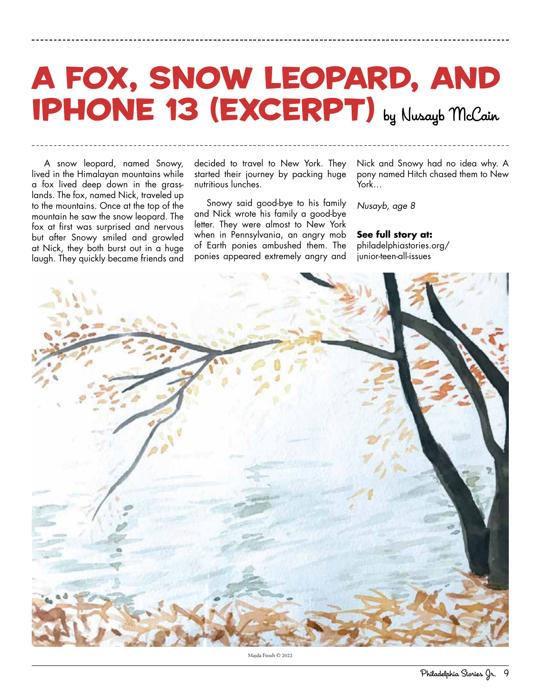## **IPHONE 13 (EXCERPT)** by Nusayb McCain A Fox, Snow Leopard, and

A snow leopard, named Snowy, lived in the Himalayan mountains while a fox lived deep down in the grasslands. The fox, named Nick, traveled up to the mountains. Once at the top of the mountain he saw the snow leopard. The fox at first was surprised and nervous but after Snowy smiled and growled at Nick, they both burst out in a huge laugh. They quickly became friends and

decided to travel to New York. They started their journey by packing huge nutritious lunches.

Snowy said good-bye to his family and Nick wrote his family a good-bye letter. They were almost to New York when in Pennsylvania, an angry mob of Earth ponies ambushed them. The ponies appeared extremely angry and

Nick and Snowy had no idea why. A pony named Hitch chased them to New York…

*Nusayb, age 8*

**See full story at:** philadelphiastories.org/ junior-teen-all-issues



Majda Ftouh © 2022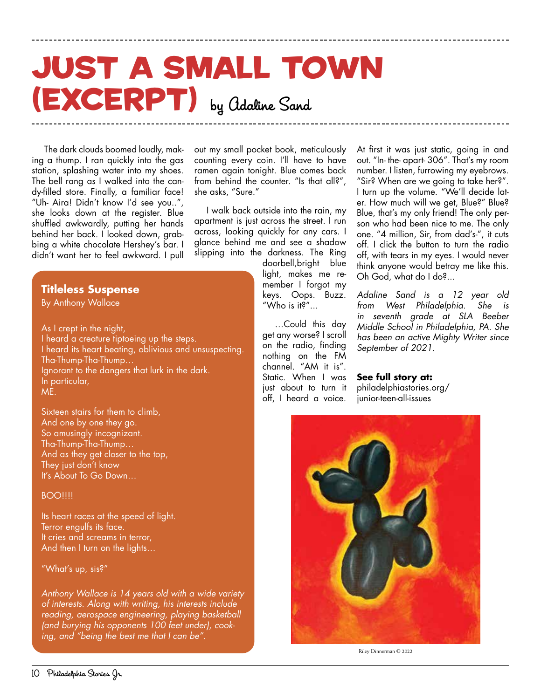## (EXCERPT) by Adaline Sand Just a Small Town

The dark clouds boomed loudly, making a thump. I ran quickly into the gas station, splashing water into my shoes. The bell rang as I walked into the candy-filled store. Finally, a familiar face! "Uh- Aira! Didn't know I'd see you..", she looks down at the register. Blue shuffled awkwardly, putting her hands behind her back. I looked down, grabbing a white chocolate Hershey's bar. I didn't want her to feel awkward. I pull

#### **Titleless Suspense**

By Anthony Wallace

As I crept in the night, I heard a creature tiptoeing up the steps. I heard its heart beating, oblivious and unsuspecting. Tha-Thump-Tha-Thump… Ignorant to the dangers that lurk in the dark. In particular, ME.

Sixteen stairs for them to climb, And one by one they go. So amusingly incognizant. Tha-Thump-Tha-Thump… And as they get closer to the top, They just don't know It's About To Go Down…

#### **BOO!!!!**

Its heart races at the speed of light. Terror engulfs its face. It cries and screams in terror, And then I turn on the lights…

"What's up, sis?"

*Anthony Wallace is 14 years old with a wide variety of interests. Along with writing, his interests include reading, aerospace engineering, playing basketball (and burying his opponents 100 feet under), cooking, and "being the best me that I can be".*

out my small pocket book, meticulously counting every coin. I'll have to have ramen again tonight. Blue comes back from behind the counter. "Is that all?", she asks, "Sure."

I walk back outside into the rain, my apartment is just across the street. I run across, looking quickly for any cars. I glance behind me and see a shadow slipping into the darkness. The Ring

> doorbell,bright blue light, makes me remember I forgot my keys. Oops. Buzz. "Who is it?"...

…Could this day get any worse? I scroll on the radio, finding nothing on the FM channel. "AM it is" Static. When I was just about to turn it off, I heard a voice.

At first it was just static, going in and out. "In- the- apart- 306". That's my room number. I listen, furrowing my eyebrows. "Sir? When are we going to take her?". I turn up the volume. "We'll decide later. How much will we get, Blue?" Blue? Blue, that's my only friend! The only person who had been nice to me. The only one. "4 million, Sir, from dad's-", it cuts off. I click the button to turn the radio off, with tears in my eyes. I would never think anyone would betray me like this. Oh God, what do I do?...

*Adaline Sand is a 12 year old from West Philadelphia. She is in seventh grade at SLA Beeber Middle School in Philadelphia, PA. She has been an active Mighty Writer since September of 2021.*

**See full story at:** philadelphiastories.org/ junior-teen-all-issues



Riley Dinnerman © 2022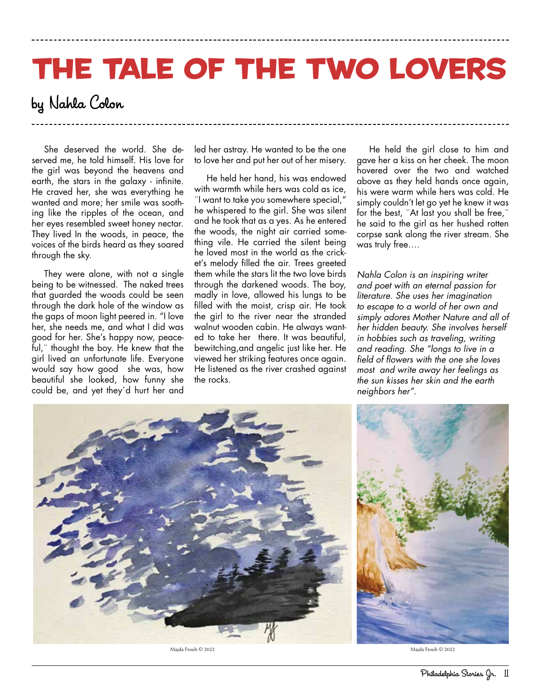# The Tale of the Two Lovers

### by Nahla Colon

She deserved the world. She deserved me, he told himself. His love for the girl was beyond the heavens and earth, the stars in the galaxy - infinite. He craved her, she was everything he wanted and more; her smile was soothing like the ripples of the ocean, and her eyes resembled sweet honey nectar. They lived In the woods, in peace, the voices of the birds heard as they soared through the sky.

They were alone, with not a single being to be witnessed. The naked trees that guarded the woods could be seen through the dark hole of the window as the gaps of moon light peered in. "I love her, she needs me, and what I did was good for her. She's happy now, peaceful,¨ thought the boy. He knew that the girl lived an unfortunate life. Everyone would say how good she was, how beautiful she looked, how funny she could be, and yet they´d hurt her and

led her astray. He wanted to be the one to love her and put her out of her misery.

He held her hand, his was endowed with warmth while hers was cold as ice, ¨I want to take you somewhere special," he whispered to the girl. She was silent and he took that as a yes. As he entered the woods, the night air carried something vile. He carried the silent being he loved most in the world as the cricket's melody filled the air. Trees greeted them while the stars lit the two love birds through the darkened woods. The boy, madly in love, allowed his lungs to be filled with the moist, crisp air. He took the girl to the river near the stranded walnut wooden cabin. He always wanted to take her there. It was beautiful, bewitching,and angelic just like her. He viewed her striking features once again. He listened as the river crashed against the rocks.

He held the girl close to him and gave her a kiss on her cheek. The moon hovered over the two and watched above as they held hands once again, his were warm while hers was cold. He simply couldn't let go yet he knew it was for the best, ¨At last you shall be free,¨ he said to the girl as her hushed rotten corpse sank along the river stream. She was truly free….

*Nahla Colon is an inspiring writer and poet with an eternal passion for literature. She uses her imagination to escape to a world of her own and simply adores Mother Nature and all of her hidden beauty. She involves herself in hobbies such as traveling, writing and reading. She "longs to live in a field of flowers with the one she loves most and write away her feelings as the sun kisses her skin and the earth neighbors her".*



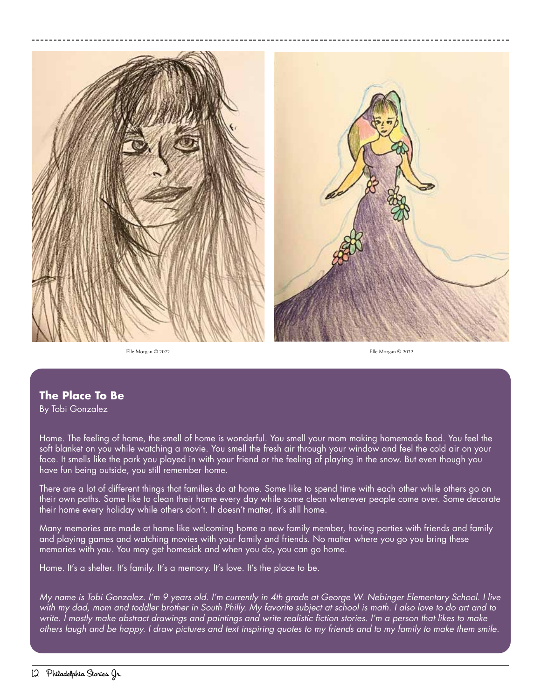

Elle Morgan © 2022 Elle Morgan © 2022

#### **The Place To Be**

By Tobi Gonzalez

Home. The feeling of home, the smell of home is wonderful. You smell your mom making homemade food. You feel the soft blanket on you while watching a movie. You smell the fresh air through your window and feel the cold air on your face. It smells like the park you played in with your friend or the feeling of playing in the snow. But even though you have fun being outside, you still remember home.

There are a lot of different things that families do at home. Some like to spend time with each other while others go on their own paths. Some like to clean their home every day while some clean whenever people come over. Some decorate their home every holiday while others don't. It doesn't matter, it's still home.

Many memories are made at home like welcoming home a new family member, having parties with friends and family and playing games and watching movies with your family and friends. No matter where you go you bring these memories with you. You may get homesick and when you do, you can go home.

Home. It's a shelter. It's family. It's a memory. It's love. It's the place to be.

*My name is Tobi Gonzalez. I'm 9 years old. I'm currently in 4th grade at George W. Nebinger Elementary School. I live with my dad, mom and toddler brother in South Philly. My favorite subject at school is math. I also love to do art and to write. I mostly make abstract drawings and paintings and write realistic fiction stories. I'm a person that likes to make others laugh and be happy. I draw pictures and text inspiring quotes to my friends and to my family to make them smile.*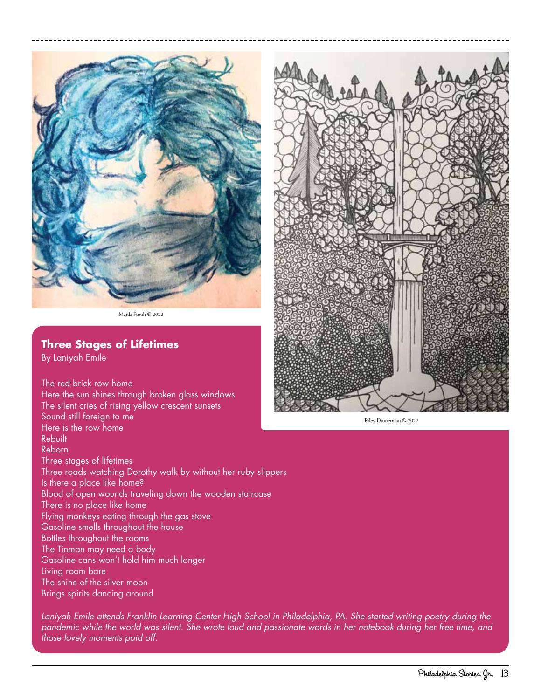

Majda Ftouh © 2022

#### **Three Stages of Lifetimes**

By Laniyah Emile

The red brick row home Here the sun shines through broken glass windows The silent cries of rising yellow crescent sunsets Sound still foreign to me Here is the row home Rebuilt Reborn Three stages of lifetimes Three roads watching Dorothy walk by without her ruby slippers Is there a place like home? Blood of open wounds traveling down the wooden staircase There is no place like home Flying monkeys eating through the gas stove Gasoline smells throughout the house Bottles throughout the rooms The Tinman may need a body Gasoline cans won't hold him much longer Living room bare The shine of the silver moon Brings spirits dancing around

*Laniyah Emile attends Franklin Learning Center High School in Philadelphia, PA. She started writing poetry during the pandemic while the world was silent. She wrote loud and passionate words in her notebook during her free time, and those lovely moments paid off.* 



Riley Dinnerman © 2022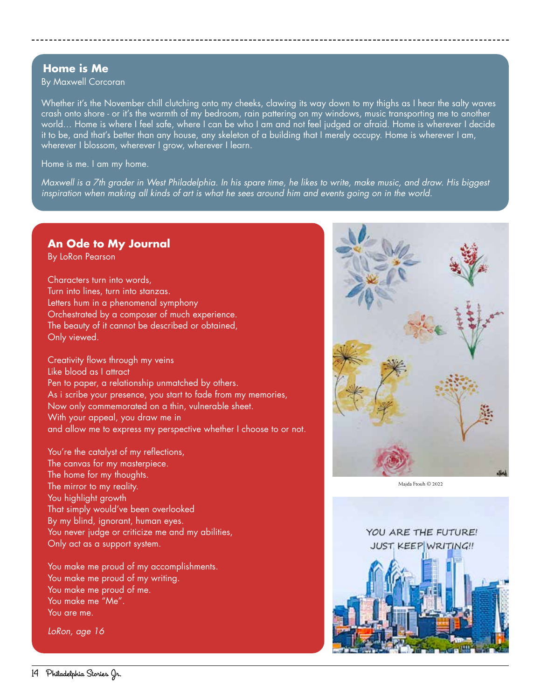#### **Home is Me**

By Maxwell Corcoran

Whether it's the November chill clutching onto my cheeks, clawing its way down to my thighs as I hear the salty waves crash onto shore - or it's the warmth of my bedroom, rain pattering on my windows, music transporting me to another world… Home is where I feel safe, where I can be who I am and not feel judged or afraid. Home is wherever I decide it to be, and that's better than any house, any skeleton of a building that I merely occupy. Home is wherever I am, wherever I blossom, wherever I grow, wherever I learn.

Home is me. I am my home.

*Maxwell is a 7th grader in West Philadelphia. In his spare time, he likes to write, make music, and draw. His biggest inspiration when making all kinds of art is what he sees around him and events going on in the world.* 

#### **An Ode to My Journal**

By LoRon Pearson

Characters turn into words, Turn into lines, turn into stanzas. Letters hum in a phenomenal symphony Orchestrated by a composer of much experience. The beauty of it cannot be described or obtained, Only viewed.

Creativity flows through my veins Like blood as I attract Pen to paper, a relationship unmatched by others. As i scribe your presence, you start to fade from my memories, Now only commemorated on a thin, vulnerable sheet. With your appeal, you draw me in and allow me to express my perspective whether I choose to or not.

You're the catalyst of my reflections, The canvas for my masterpiece. The home for my thoughts. The mirror to my reality. You highlight growth That simply would've been overlooked By my blind, ignorant, human eyes. You never judge or criticize me and my abilities, Only act as a support system.

You make me proud of my accomplishments. You make me proud of my writing. You make me proud of me. You make me "Me". You are me.

*LoRon, age 16*



Maida Ftouh © 2022

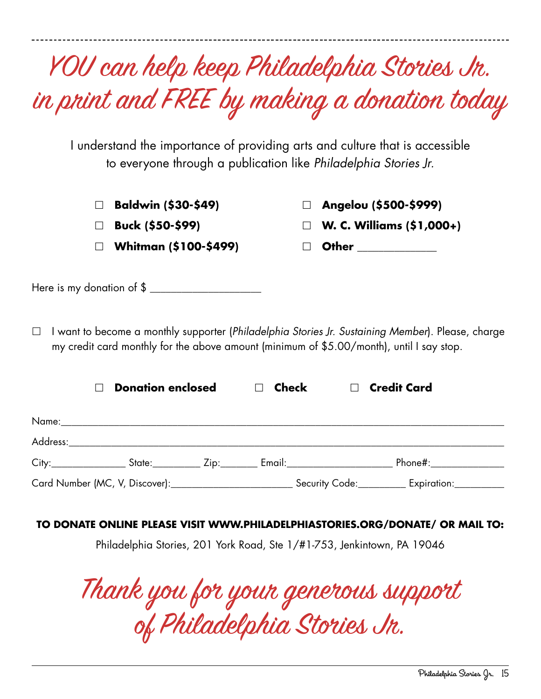|       |                                           | in print and FREE by making a donation today<br>I understand the importance of providing arts and culture that is accessible<br>to everyone through a publication like Philadelphia Stories Jr. |
|-------|-------------------------------------------|-------------------------------------------------------------------------------------------------------------------------------------------------------------------------------------------------|
|       | Baldwin (\$30-\$49)                       | Angelou (\$500-\$999)                                                                                                                                                                           |
|       | Buck (\$50-\$99)<br>Whitman (\$100-\$499) | W. C. Williams (\$1,000+)<br><b>Other Community</b>                                                                                                                                             |
|       | Here is my donation of \$                 |                                                                                                                                                                                                 |
|       |                                           |                                                                                                                                                                                                 |
|       | <b>Donation enclosed</b>                  | <b>Credit Card</b><br>Check                                                                                                                                                                     |
|       |                                           |                                                                                                                                                                                                 |
| Name: |                                           | City:___________________State:______________Zip:___________Email:___________________________________Phone#:___________________________                                                          |